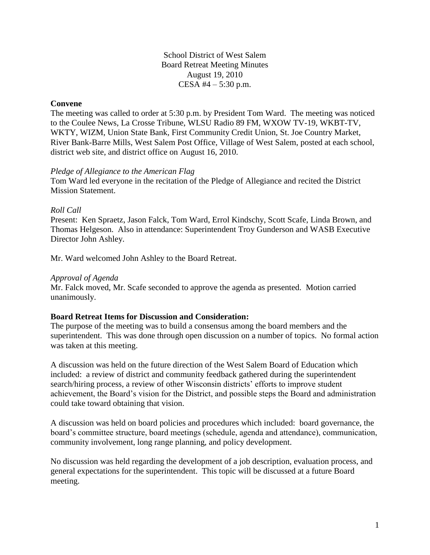School District of West Salem Board Retreat Meeting Minutes August 19, 2010 CESA #4 – 5:30 p.m.

# **Convene**

The meeting was called to order at 5:30 p.m. by President Tom Ward. The meeting was noticed to the Coulee News, La Crosse Tribune, WLSU Radio 89 FM, WXOW TV-19, WKBT-TV, WKTY, WIZM, Union State Bank, First Community Credit Union, St. Joe Country Market, River Bank-Barre Mills, West Salem Post Office, Village of West Salem, posted at each school, district web site, and district office on August 16, 2010.

## *Pledge of Allegiance to the American Flag*

Tom Ward led everyone in the recitation of the Pledge of Allegiance and recited the District Mission Statement.

## *Roll Call*

Present: Ken Spraetz, Jason Falck, Tom Ward, Errol Kindschy, Scott Scafe, Linda Brown, and Thomas Helgeson. Also in attendance: Superintendent Troy Gunderson and WASB Executive Director John Ashley.

Mr. Ward welcomed John Ashley to the Board Retreat.

#### *Approval of Agenda*

Mr. Falck moved, Mr. Scafe seconded to approve the agenda as presented. Motion carried unanimously.

# **Board Retreat Items for Discussion and Consideration:**

The purpose of the meeting was to build a consensus among the board members and the superintendent. This was done through open discussion on a number of topics. No formal action was taken at this meeting.

A discussion was held on the future direction of the West Salem Board of Education which included: a review of district and community feedback gathered during the superintendent search/hiring process, a review of other Wisconsin districts' efforts to improve student achievement, the Board's vision for the District, and possible steps the Board and administration could take toward obtaining that vision.

A discussion was held on board policies and procedures which included: board governance, the board's committee structure, board meetings (schedule, agenda and attendance), communication, community involvement, long range planning, and policy development.

No discussion was held regarding the development of a job description, evaluation process, and general expectations for the superintendent. This topic will be discussed at a future Board meeting.